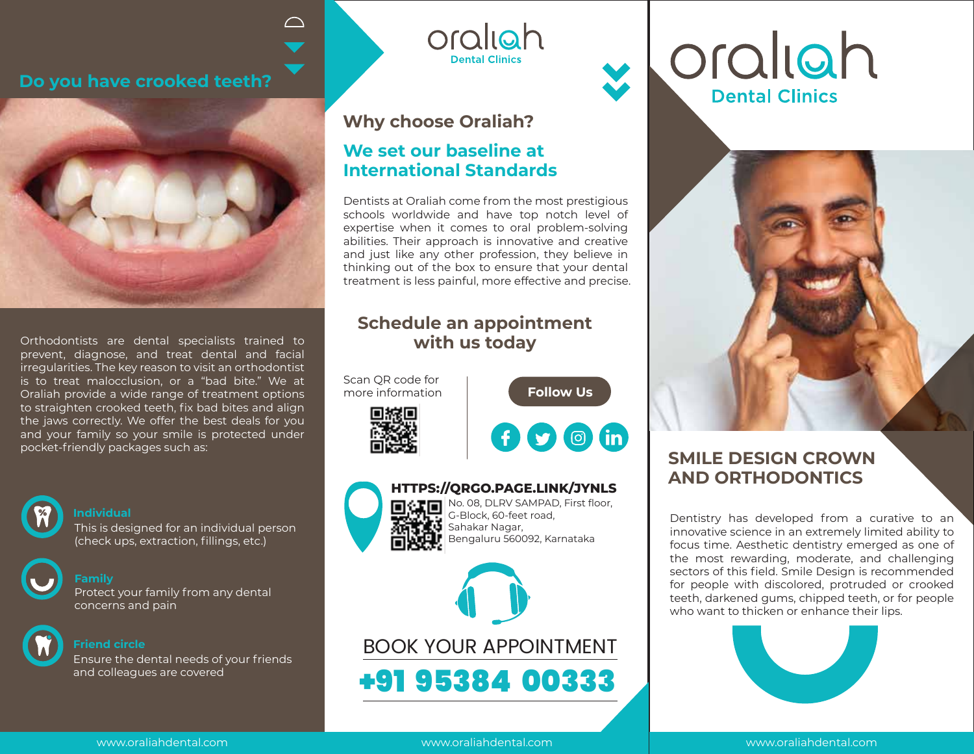#### **Do you have crooked teeth?**

 $\bigcap$ 



Orthodontists are dental specialists trained to prevent, diagnose, and treat dental and facial irregularities. The key reason to visit an orthodontist is to treat malocclusion, or a "bad bite." We at Oraliah provide a wide range of treatment options to straighten crooked teeth, fix bad bites and align the jaws correctly. We offer the best deals for you and your family so your smile is protected under pocket-friendly packages such as:



#### **Individual**

This is designed for an individual person (check ups, extraction, fillings, etc.)

# **Family**

Protect your family from any dental concerns and pain



**Friend circle**

Ensure the dental needs of your friends and colleagues are covered

### **Why choose Oraliah?**

#### **We set our baseline at International Standards**

Dentists at Oraliah come from the most prestigious schools worldwide and have top notch level of expertise when it comes to oral problem-solving abilities. Their approach is innovative and creative and just like any other profession, they believe in thinking out of the box to ensure that your dental treatment is less painful, more effective and precise.

oraliah

**Dental Clinics** 

### **Schedule an appointment with us today**

Scan QR code for more information





**Follow Us** 



#### $\mathbf{D}$   $\mathbf{N}$  No. 08, DLRV SAMPAD, First floor, **HTTPS://QRGO.PAGE.LINK/JYNLS**

G-Block, 60-feet road, Sahakar Nagar, Bengaluru 560092, Karnataka



BOOK YOUR APPOINTMENT +91 95384 00333





# **SMILE DESIGN CROWN AND ORTHODONTICS**

Dentistry has developed from a curative to an innovative science in an extremely limited ability to focus time. Aesthetic dentistry emerged as one of the most rewarding, moderate, and challenging sectors of this field. Smile Design is recommended for people with discolored, protruded or crooked teeth, darkened gums, chipped teeth, or for people who want to thicken or enhance their lips.



www.oraliahdental.com

www.oraliahdental.com

www.oraliahdental.com